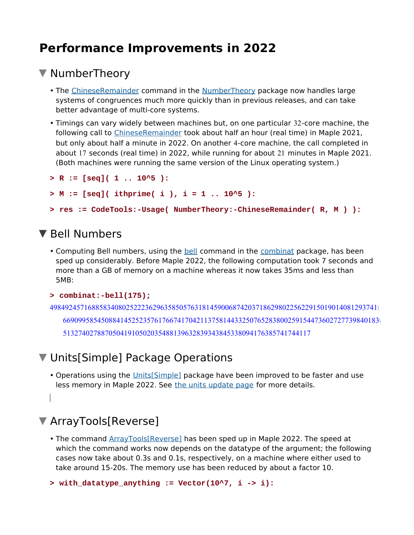# **Performance Improvements in 2022**

#### ▼ NumberTheory

- The ChineseRemainder command in the NumberTheory package now handles large systems of congruences much more quickly than in previous releases, and can take better advantage of multi-core systems.
- Timings can vary widely between machines but, on one particular 32-core machine, the following call to ChineseRemainder took about half an hour (real time) in Maple 2021, but only about half a minute in 2022. On another 4-core machine, the call completed in about 17 seconds (real time) in 2022, while running for about 21 minutes in Maple 2021. (Both machines were running the same version of the Linux operating system.)

```
> R := [seq]( 1 .. 10^5 ):
```

```
> M := [seq]( ithprime( i ), i = 1 .. 10^5 ):
```

```
> res := CodeTools:-Usage( NumberTheory:-ChineseRemainder( R, M ) ):
```
### ▼ Bell Numbers

• Computing Bell numbers, using the **bell command in the combinat package**, has been sped up considerably. Before Maple 2022, the following computation took 7 seconds and more than a GB of memory on a machine whereas it now takes 35ms and less than 5MB:

#### **> combinat:-bell(175);**

```
49849245716885834080252223629635850576318145900687420371862980225622915019014081293741\
   66909958545088414525235761766741704211375814433250765283800259154473602727739840183\
   51327402788705041910502035488139632839343845338094176385741744117
```
## ▼ Units[Simple] Package Operations

• Operations using the **Units**[Simple] package have been improved to be faster and use less memory in Maple 2022. See the units update page for more details.

## ArrayTools[Reverse]

• The command ArrayTools[Reverse] has been sped up in Maple 2022. The speed at which the command works now depends on the datatype of the argument; the following cases now take about 0.3s and 0.1s, respectively, on a machine where either used to take around 15-20s. The memory use has been reduced by about a factor 10.

**> with\_datatype\_anything := Vector(10^7, i -> i):**